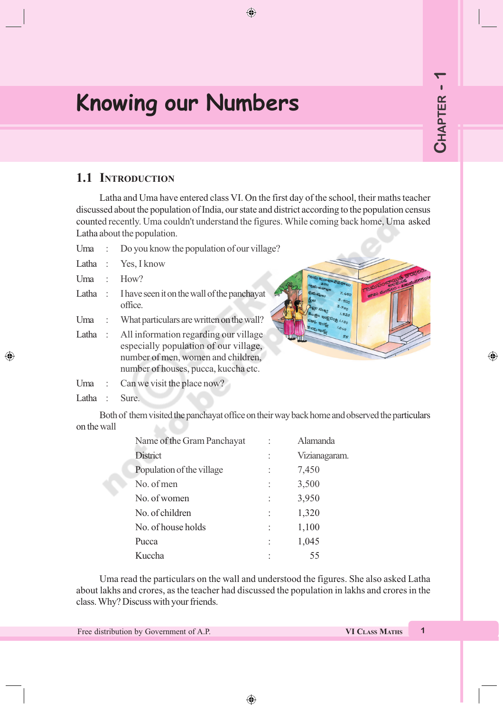◈

# **Knowing our Numbers**

### **1.1 INTRODUCTION**

Latha and Uma have entered class VI. On the first day of the school, their maths teacher discussed about the population of India, our state and district according to the population census counted recently. Uma couldn't understand the figures. While coming back home, Uma asked Latha about the population.

 $\bigoplus$ 

- Uma : Do you know the population of our village?
- Latha : Yes, I know
- Uma : How?
- Latha : I have seen it on the wall of the panchayat office.
- Uma : What particulars are written on the wall?
- Latha : All information regarding our village especially population of our village, number of men, women and children, number of houses, pucca, kuccha etc.
- Uma : Can we visit the place now?
- Latha : Sure.

◈

Both of them visited the panchayat office on their way back home and observed the particulars on the wall

| Name of the Gram Panchayat | Alamanda      |
|----------------------------|---------------|
| <b>District</b>            | Vizianagaram. |
| Population of the village  | 7,450         |
| No. of men                 | 3,500         |
| No. of women               | 3,950         |
| No. of children            | 1,320         |
| No. of house holds         | 1,100         |
| Pucca                      | 1,045         |
| Kuccha                     | 55            |

Uma read the particulars on the wall and understood the figures. She also asked Latha about lakhs and crores, as the teacher had discussed the population in lakhs and crores in the class. Why? Discuss with your friends.

Free distribution by Government of A.P. **VI CLASS MATHS 1**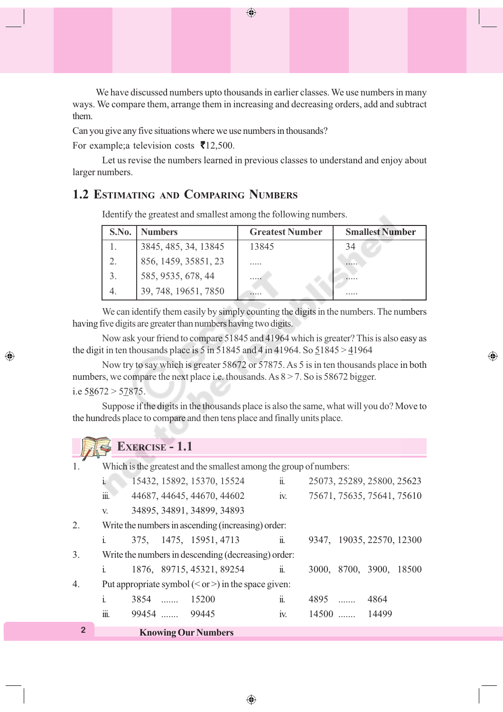We have discussed numbers upto thousands in earlier classes. We use numbers in many ways. We compare them, arrange them in increasing and decreasing orders, add and subtract them.

Can you give any five situations where we use numbers in thousands?

For example; a television costs  $\bar{\mathbf{\mathsf{z}}}$ 12,500.

◈

Let us revise the numbers learned in previous classes to understand and enjoy about larger numbers.

### **1.2 ESTIMATING AND COMPARING NUMBERS**

Identify the greatest and smallest among the following numbers.

| S.No.            | <b>Numbers</b>       | <b>Greatest Number</b> | <b>Smallest Number</b> |
|------------------|----------------------|------------------------|------------------------|
|                  | 3845, 485, 34, 13845 | 13845                  | 34                     |
| 2.               | 856, 1459, 35851, 23 |                        |                        |
| $\mathfrak{Z}$ . | 585, 9535, 678, 44   |                        |                        |
|                  | 39, 748, 19651, 7850 |                        |                        |

We can identify them easily by simply counting the digits in the numbers. The numbers having five digits are greater than numbers having two digits.

Now ask your friend to compare 51845 and 41964 which is greater? This is also easy as the digit in ten thousands place is 5 in 51845 and 4 in 41964. So  $51845 > 41964$ 

⊕

Now try to say which is greater 58672 or 57875. As 5 is in ten thousands place in both numbers, we compare the next place i.e. thousands. As  $8 > 7$ . So is 58672 bigger. i.e  $58672 > 57875$ .

Suppose if the digits in the thousands place is also the same, what will you do? Move to the hundreds place to compare and then tens place and finally units place.

|                |                | <b>EXERCISE - 1.1</b> |              |                                                                    |                       |      |              |                            |  |
|----------------|----------------|-----------------------|--------------|--------------------------------------------------------------------|-----------------------|------|--------------|----------------------------|--|
|                |                |                       |              | Which is the greatest and the smallest among the group of numbers: |                       |      |              |                            |  |
|                | i.             |                       |              | 15432, 15892, 15370, 15524                                         | $\ddot{\mathbf{u}}$ . |      |              | 25073, 25289, 25800, 25623 |  |
|                | iii.           |                       |              | 44687, 44645, 44670, 44602                                         | iv.                   |      |              | 75671, 75635, 75641, 75610 |  |
|                | V.             |                       |              | 34895, 34891, 34899, 34893                                         |                       |      |              |                            |  |
| 2.             |                |                       |              | Write the numbers in ascending (increasing) order:                 |                       |      |              |                            |  |
|                | $\mathbf{i}$ . |                       |              | 375, 1475, 15951, 4713                                             | $\ddot{\mathbf{i}}$ . |      |              | 9347, 19035, 22570, 12300  |  |
| 3.             |                |                       |              | Write the numbers in descending (decreasing) order:                |                       |      |              |                            |  |
|                | $\mathbf{i}$ . |                       |              | 1876, 89715, 45321, 89254                                          | $\ddot{\mathbf{u}}$ . |      |              | 3000, 8700, 3900, 18500    |  |
| 4.             |                |                       |              | Put appropriate symbol $(<$ or >) in the space given:              |                       |      |              |                            |  |
|                | $\mathbf{i}$   | $3854$                |              | 15200                                                              | ii.                   | 4895 |              | 4864                       |  |
|                | <br>111.       |                       | 99454  99445 |                                                                    | IV.                   |      | 14500  14499 |                            |  |
| $\overline{2}$ |                |                       |              | <b>Knowing Our Numbers</b>                                         |                       |      |              |                            |  |

◈

#### $\bigoplus$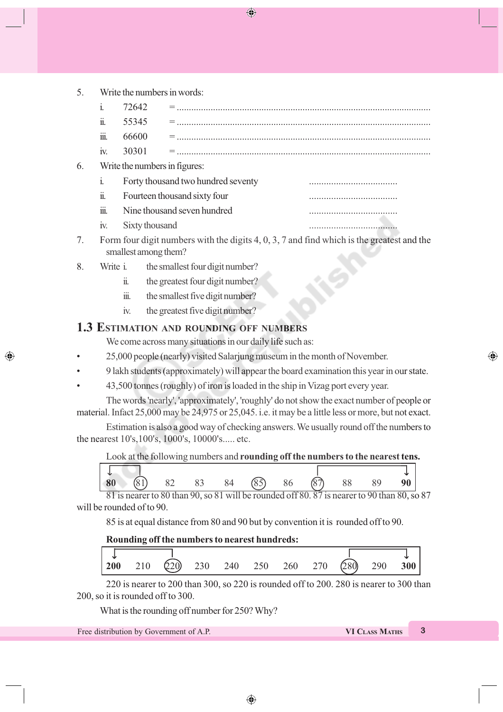◈

5. Write the numbers in words:

|    | ii.               | 55345                         |                                    |  |
|----|-------------------|-------------------------------|------------------------------------|--|
|    | iii.              | 66600                         |                                    |  |
|    | $\overline{1}V$ . | 30301                         |                                    |  |
| 6. |                   | Write the numbers in figures: |                                    |  |
|    | 1.                |                               | Forty thousand two hundred seventy |  |
|    |                   |                               |                                    |  |

- ii. Fourteen thousand sixty four
- iii. Nine thousand seven hundred ....................................
- iv. Sixty thousand ....................................
- 7. Form four digit numbers with the digits 4, 0, 3, 7 and find which is the greatest and the smallest among them?
- 8. Write i. the smallest four digit number?

◈

- ii. the greatest four digit number?
- iii. the smallest five digit number?
- iv. the greatest five digit number?

### **1.3 ESTIMATION AND ROUNDING OFF NUMBERS**

We come across many situations in our daily life such as:

- 25,000 people (nearly) visited Salarjung museum in the month of November.
- 9 lakh students (approximately) will appear the board examination this year in our state.
- 43,500 tonnes (roughly) of iron is loaded in the ship in Vizag port every year.

The words 'nearly', 'approximately', 'roughly' do not show the exact number of people or material. Infact 25,000 may be 24,975 or 25,045. i.e. it may be a little less or more, but not exact.

Estimation is also a good way of checking answers. We usually round off the numbers to the nearest 10's,100's, 1000's, 10000's..... etc.

#### Look at the following numbers and **rounding off the numbers to the nearest tens.**

| 80 | (81)<br>$\circ$ | 82 | 83 | 84 | ৎন<br>$\circ$ | 86 | (87) | 88 | 89 | 90 |
|----|-----------------|----|----|----|---------------|----|------|----|----|----|

81 is nearer to 80 than 90, so 81 will be rounded off 80. 87 is nearer to 90 than 80, so 87 will be rounded of to 90.

85 is at equal distance from 80 and 90 but by convention it is rounded off to 90.

#### **Rounding off the numbers to nearest hundreds:**

|  | <b>200</b> 210 $\overline{Q}20$ 230 240 250 260 270 $\overline{Q}80$ |  |  |  | $\frac{1}{290}$ 300 |  |
|--|----------------------------------------------------------------------|--|--|--|---------------------|--|

220 is nearer to 200 than 300, so 220 is rounded off to 200. 280 is nearer to 300 than 200, so it is rounded off to 300.

What is the rounding off number for 250? Why?

Free distribution by Government of A.P. **VI CLASS MATHS 3** 

⊕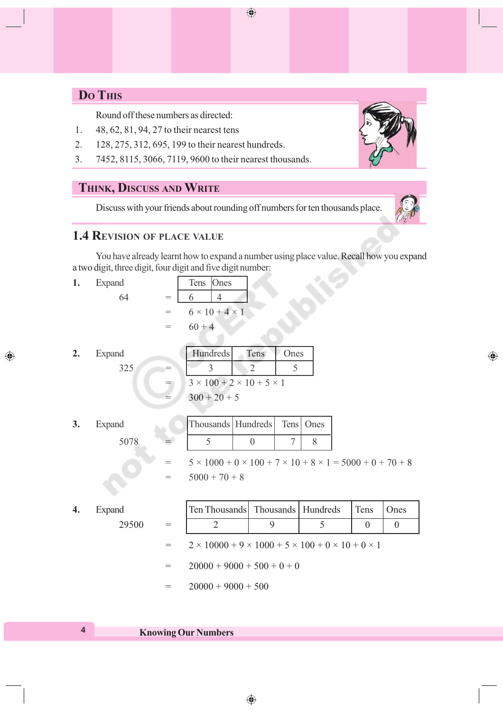# **DO THIS**

Round off these numbers as directed:

- 1. 48, 62, 81, 94, 27 to their nearest tens
- 2. 128, 275, 312, 695, 199 to their nearest hundreds.
- 3. 7452, 8115, 3066, 7119, 9600 to their nearest thousands.

### **THINK, DISCUSS AND WRITE**

Discuss with your friends about rounding off numbers for ten thousands place.

### **1.4 REVISION OF PLACE VALUE**

You have already learnt how to expand a number using place value. Recall how you expand a two digit, three digit, four digit and five digit number:

 $\bigoplus$ 

1. Expand

$$
64
$$

| d  | Tens Ones |                            |
|----|-----------|----------------------------|
| 64 | 6         |                            |
|    |           | $6 \times 10 + 4 \times 1$ |
|    | $60 + 4$  |                            |

2. Expand

◈

| d   | <b>Hundreds</b>                           | Tens | Ones |
|-----|-------------------------------------------|------|------|
| 325 |                                           |      |      |
|     | $3 \times 100 + 2 \times 10 + 5 \times 1$ |      |      |
|     | $300 + 20 + 5$                            |      |      |

**3.** Expand Thousands Hundreds Tens Ones

 $5078 = \begin{vmatrix} 5 & 0 & 7 & 8 \end{vmatrix}$ 

 $5 \times 1000 + 0 \times 100 + 7 \times 10 + 8 \times 1 = 5000 + 0 + 70 + 8$  $= 5000 + 70 + 8$ 

| Expand |     | Ten Thousands   Thousands   Hundreds                                       |  |  | Tens | Ones |
|--------|-----|----------------------------------------------------------------------------|--|--|------|------|
| 29500  | $=$ |                                                                            |  |  | 0    |      |
|        | $=$ | $2 \times 10000 + 9 \times 1000 + 5 \times 100 + 0 \times 10 + 0 \times 1$ |  |  |      |      |
|        | $=$ | $20000 + 9000 + 500 + 0 + 0$                                               |  |  |      |      |
|        |     | $20000 + 9000 + 500$                                                       |  |  |      |      |



◈

### **<sup>4</sup> Knowing Our Numbers**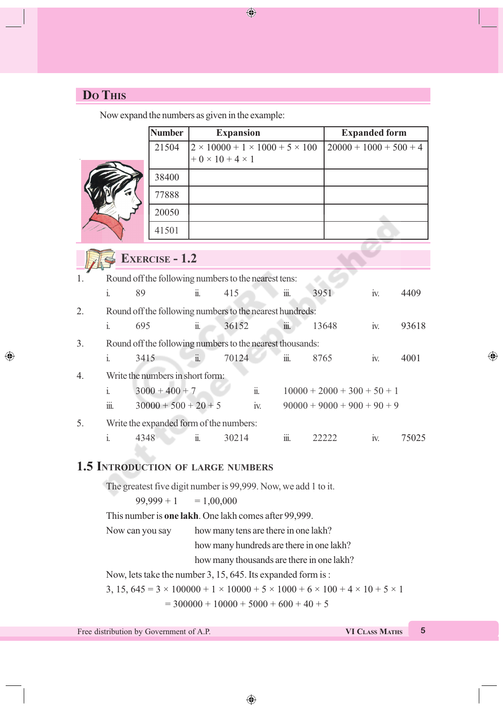# **DO THIS**

 $\bigcirc$ 

Now expand the numbers as given in the example:

|    |                                                                                                           | <b>Number</b>                                                  |                                                                                | <b>Expansion</b> |                                           |                        |       | <b>Expanded form</b>          |     |                          |
|----|-----------------------------------------------------------------------------------------------------------|----------------------------------------------------------------|--------------------------------------------------------------------------------|------------------|-------------------------------------------|------------------------|-------|-------------------------------|-----|--------------------------|
|    |                                                                                                           | 21504                                                          | $2 \times 10000 + 1 \times 1000 + 5 \times 100$<br>$+0 \times 10 + 4 \times 1$ |                  |                                           |                        |       |                               |     | $20000 + 1000 + 500 + 4$ |
|    |                                                                                                           | 38400                                                          |                                                                                |                  |                                           |                        |       |                               |     |                          |
|    |                                                                                                           | 77888                                                          |                                                                                |                  |                                           |                        |       |                               |     |                          |
|    |                                                                                                           | 20050                                                          |                                                                                |                  |                                           |                        |       |                               |     |                          |
|    |                                                                                                           | 41501                                                          |                                                                                |                  |                                           |                        |       |                               |     |                          |
|    |                                                                                                           | <b>EXERCISE - 1.2</b>                                          |                                                                                |                  |                                           |                        |       |                               |     |                          |
| 1. | Round off the following numbers to the nearest tens:                                                      |                                                                |                                                                                |                  |                                           |                        |       |                               |     |                          |
|    | 89<br>$\mathbf{i}$ .                                                                                      |                                                                | $\dddot{\mathbf{n}}$ .                                                         | 415              |                                           | iii.                   | 3951  |                               | iv. | 4409                     |
| 2. | Round off the following numbers to the nearest hundreds:                                                  |                                                                |                                                                                |                  |                                           |                        |       |                               |     |                          |
|    | 695<br>$\mathbf{i}$ .                                                                                     |                                                                | $\ddot{\mathbf{1}}$ .                                                          | 36152            |                                           | iii.                   | 13648 |                               | iv. | 93618                    |
| 3. | Round off the following numbers to the nearest thousands:                                                 |                                                                |                                                                                |                  |                                           |                        |       |                               |     |                          |
|    | 3415<br>$\mathbf{i}$ .                                                                                    |                                                                | $\ddot{\mathbf{u}}$ .                                                          | 70124            |                                           | iii.                   | 8765  |                               | iv. | 4001                     |
| 4. |                                                                                                           | Write the numbers in short form:                               |                                                                                |                  |                                           |                        |       |                               |     |                          |
|    | $\mathbf{i}$                                                                                              | $3000 + 400 + 7$                                               |                                                                                |                  | $\dddot{\mathbf{u}}$ .                    |                        |       | $10000 + 2000 + 300 + 50 + 1$ |     |                          |
|    | iii.                                                                                                      | $30000 + 500 + 20 + 5$                                         |                                                                                |                  | iv.                                       |                        |       | $90000 + 9000 + 900 + 90 + 9$ |     |                          |
| 5. | Write the expanded form of the numbers:                                                                   |                                                                |                                                                                |                  |                                           |                        |       |                               |     |                          |
|    | $\mathbf{i}$ .<br>4348                                                                                    |                                                                | ii.                                                                            | 30214            |                                           | $\dddot{\mathbf{m}}$ . | 22222 |                               | iv. | 75025                    |
|    |                                                                                                           |                                                                |                                                                                |                  |                                           |                        |       |                               |     |                          |
|    | <b>1.5 INTRODUCTION OF LARGE NUMBERS</b>                                                                  |                                                                |                                                                                |                  |                                           |                        |       |                               |     |                          |
|    |                                                                                                           | The greatest five digit number is 99,999. Now, we add 1 to it. |                                                                                |                  |                                           |                        |       |                               |     |                          |
|    |                                                                                                           | $99,999 + 1$                                                   | $= 1,00,000$                                                                   |                  |                                           |                        |       |                               |     |                          |
|    |                                                                                                           | This number is one lakh. One lakh comes after 99,999.          |                                                                                |                  |                                           |                        |       |                               |     |                          |
|    | Now can you say                                                                                           |                                                                |                                                                                |                  | how many tens are there in one lakh?      |                        |       |                               |     |                          |
|    |                                                                                                           |                                                                |                                                                                |                  | how many hundreds are there in one lakh?  |                        |       |                               |     |                          |
|    |                                                                                                           |                                                                |                                                                                |                  | how many thousands are there in one lakh? |                        |       |                               |     |                          |
|    | Now, lets take the number 3, 15, 645. Its expanded form is:                                               |                                                                |                                                                                |                  |                                           |                        |       |                               |     |                          |
|    | 3, 15, $645 = 3 \times 100000 + 1 \times 10000 + 5 \times 1000 + 6 \times 100 + 4 \times 10 + 5 \times 1$ |                                                                |                                                                                |                  |                                           |                        |       |                               |     |                          |
|    |                                                                                                           |                                                                | $=$ 300000 + 10000 + 5000 + 600 + 40 + 5                                       |                  |                                           |                        |       |                               |     |                          |

 $\bigoplus$ 

 $\bigoplus$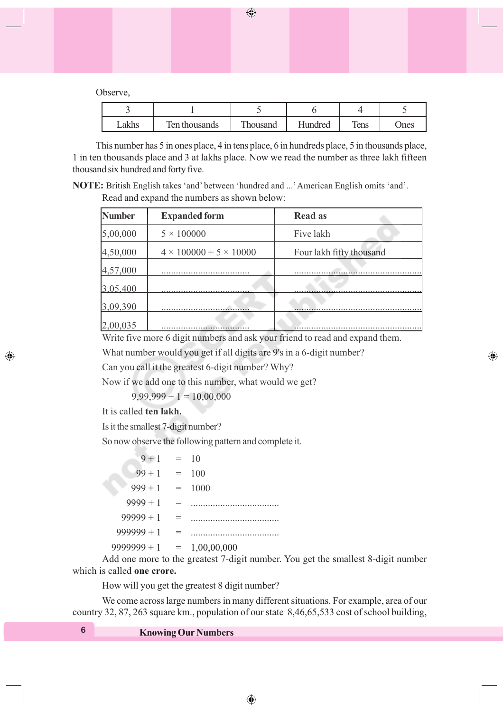$\bigoplus$ 

Observe,

| Lakhs | Ten thousands | Thousand | <b>Hundred</b> | Tens | Ones |
|-------|---------------|----------|----------------|------|------|

This number has 5 in ones place, 4 in tens place, 6 in hundreds place, 5 in thousands place, 1 in ten thousands place and 3 at lakhs place. Now we read the number as three lakh fifteen thousand six hundred and forty five.

**NOTE:** British English takes 'and' between 'hundred and ...' American English omits 'and'. Read and expand the numbers as shown below:

| <b>Number</b> | <b>Expanded form</b>               | <b>Read as</b>           |
|---------------|------------------------------------|--------------------------|
| 5,00,000      | $5 \times 100000$                  | Five lakh                |
| 4,50,000      | $4 \times 100000 + 5 \times 10000$ | Four lakh fifty thousand |
| 4,57,000      |                                    |                          |
| 3.05.400      |                                    |                          |
| 3,09,390      |                                    |                          |
| 2,00,035      |                                    | $\cdots$                 |

Write five more 6 digit numbers and ask your friend to read and expand them.

⊕

What number would you get if all digits are 9's in a 6-digit number?

Can you call it the greatest 6-digit number? Why?

Now if we add one to this number, what would we get?

 $9,99,999 + 1 = 10,00,000$ 

It is called **ten lakh.**

◈

Is it the smallest 7-digit number?

So now observe the following pattern and complete it.

| $9 + 1$       |     | $= 10$      |
|---------------|-----|-------------|
| $99 + 1$      | $=$ | 100         |
| $999 + 1$     | $=$ | 1000        |
| $9999 + 1$    | $=$ |             |
| $99999 + 1$   | $=$ |             |
| $999999 + 1$  | $=$ |             |
| $9999999 + 1$ | $=$ | 1,00,00,000 |

Add one more to the greatest 7-digit number. You get the smallest 8-digit number which is called **one crore.**

How will you get the greatest 8 digit number?

We come across large numbers in many different situations. For example, area of our country 32, 87, 263 square km., population of our state 8,46,65,533 cost of school building,

**<sup>6</sup> Knowing Our Numbers**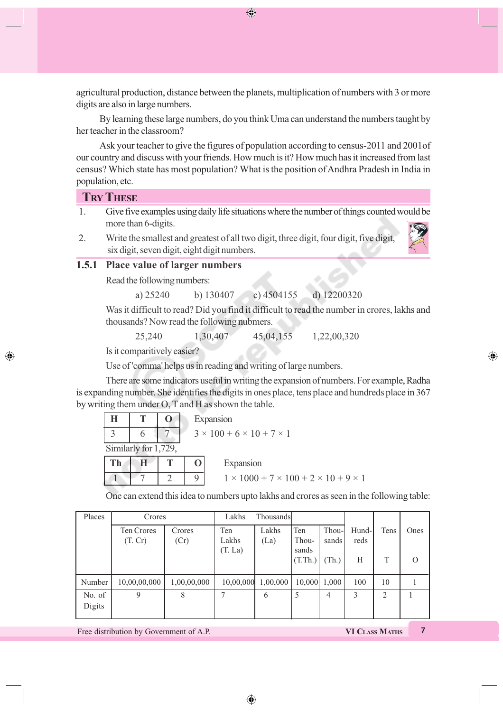agricultural production, distance between the planets, multiplication of numbers with 3 or more digits are also in large numbers.

 $\bigoplus$ 

By learning these large numbers, do you think Uma can understand the numbers taught by her teacher in the classroom?

Ask your teacher to give the figures of population according to census-2011 and 2001of our country and discuss with your friends. How much is it? How much has it increased from last census? Which state has most population? What is the position of Andhra Pradesh in India in population, etc.

#### **TRY THESE**

◈

- 1. Give five examples using daily life situations where the number of things counted would be more than 6-digits.
- 2. Write the smallest and greatest of all two digit, three digit, four digit, five digit, six digit, seven digit, eight digit numbers.

#### **1.5.1 Place value of larger numbers**

Read the following numbers:

a) 25240 b) 130407 c) 4504155 d) 12200320

Was it difficult to read? Did you find it difficult to read the number in crores, lakhs and thousands? Now read the following nubmers.

25,240 1,30,407 45,04,155 1,22,00,320

Is it comparitively easier?

Use of 'comma' helps us in reading and writing of large numbers.

There are some indicators useful in writing the expansion of numbers. For example, Radha is expanding number. She identifies the digits in ones place, tens place and hundreds place in 367 by writing them under O, T and H as shown the table.

| Н  |                      | Expansion                                 |                                                           |  |  |  |
|----|----------------------|-------------------------------------------|-----------------------------------------------------------|--|--|--|
|    |                      | $3 \times 100 + 6 \times 10 + 7 \times 1$ |                                                           |  |  |  |
|    | Similarly for 1,729, |                                           |                                                           |  |  |  |
| Th |                      |                                           | Expansion                                                 |  |  |  |
|    |                      | Q                                         | $1 \times 1000 + 7 \times 100 + 2 \times 10 + 9 \times 1$ |  |  |  |

One can extend this idea to numbers upto lakhs and crores as seen in the following table:

| Places           | Crores                |                | Lakhs        | Thousands     |                  |                |                |      |      |
|------------------|-----------------------|----------------|--------------|---------------|------------------|----------------|----------------|------|------|
|                  | Ten Crores<br>(T, Cr) | Crores<br>(Cr) | Ten<br>Lakhs | Lakhs<br>(La) | Ten<br>Thou-     | Thou-<br>sands | Hund-l<br>reds | Tens | Ones |
|                  |                       |                | (T. La)      |               | sands<br>(T.Th.) | (Th.)          | H              | T    |      |
| Number           | 10,00,00,000          | 1,00,00,000    | 10,00,000    | 1,00,000      |                  | $10,000$ 1,000 | 100            | 10   |      |
| No. of<br>Digits | 9                     | 8              |              | 6             | 5                | 4              | 3              | 2    |      |

◈

Free distribution by Government of A.P. **VI CLASS MATHS 7** 

⊕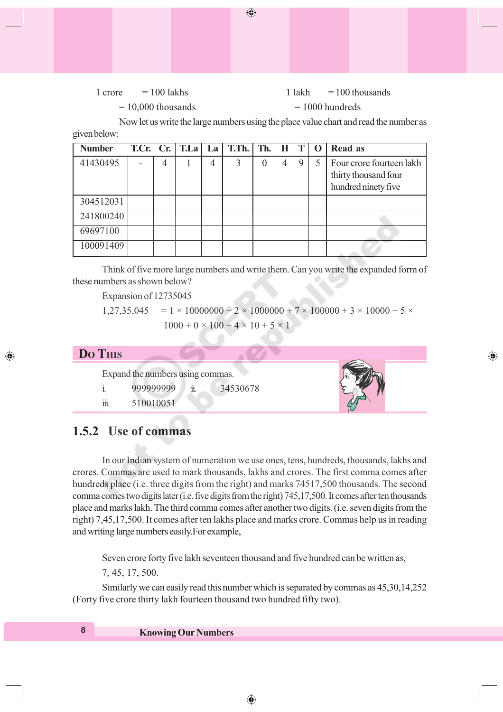### $1 \text{ core} = 100 \text{ lakhs} = 100 \text{ thousands}$

⊕

 $= 10,000$  thousands  $= 1000$  hundreds

Now let us write the large numbers using the place value chart and read the number as given below:

◈

| <b>Number</b> |   | T.Cr. $Cr.$ T.La | La | T.Th. | Th. | Н |   | $\mathbf 0$ | Read as                                                                 |
|---------------|---|------------------|----|-------|-----|---|---|-------------|-------------------------------------------------------------------------|
| 41430495      | 4 |                  | 4  | ζ     | 0   | 4 | 9 | 5           | Four crore fourteen lakh<br>thirty thousand four<br>hundred ninety five |
| 304512031     |   |                  |    |       |     |   |   |             |                                                                         |
| 241800240     |   |                  |    |       |     |   |   |             |                                                                         |
| 69697100      |   |                  |    |       |     |   |   |             |                                                                         |
| 100091409     |   |                  |    |       |     |   |   |             |                                                                         |

Think of five more large numbers and write them. Can you write the expanded form of these numbers as shown below?

Expansion of 12735045

 $1,27,35,045 = 1 \times 10000000 + 2 \times 1000000 + 7 \times 100000 + 3 \times 10000 + 5 \times$  $1000 + 0 \times 100 + 4 \times 10 + 5 \times 1$ 

**DO THIS**

◈

Expand the numbers using commas.

|          | 999999999 | <br>34530678 |
|----------|-----------|--------------|
| <br>111. | 510010051 |              |

# **1.5.2 Use of commas**

In our Indian system of numeration we use ones, tens, hundreds, thousands, lakhs and crores. Commas are used to mark thousands, lakhs and crores. The first comma comes after hundreds place (i.e. three digits from the right) and marks 74517,500 thousands. The second comma comes two digits later (i.e. five digits from the right) 745,17,500. It comes after ten thousands place and marks lakh. The third comma comes after another two digits. (i.e. seven digits from the right) 7,45,17,500. It comes after ten lakhs place and marks crore. Commas help us in reading and writing large numbers easily.For example,

Seven crore forty five lakh seventeen thousand and five hundred can be written as,

7, 45, 17, 500.

Similarly we can easily read this number which is separated by commas as 45,30,14,252 (Forty five crore thirty lakh fourteen thousand two hundred fifty two).

**<sup>8</sup> Knowing Our Numbers**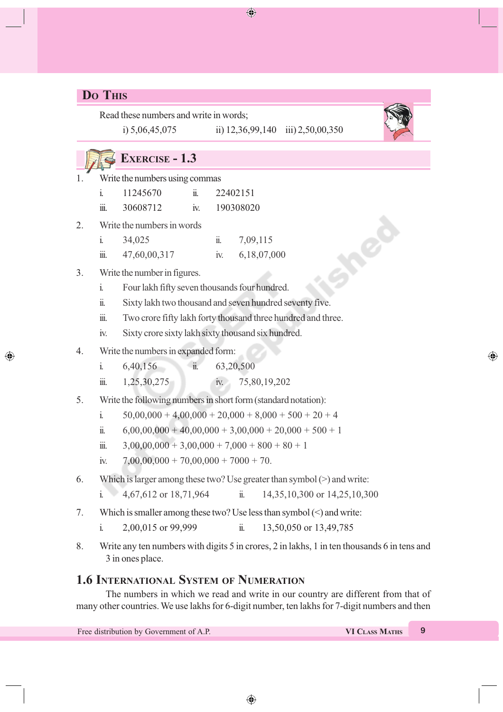# **DO THIS**

◈

Read these numbers and write in words; i) 5,06,45,075 ii) 12,36,99,140 iii) 2,50,00,350

 $\bigoplus$ 



⊕

# **EXERCISE - 1.3**

1. Write the numbers using commas

|         | 11245670 |    | 22402151  |
|---------|----------|----|-----------|
| <br>111 | 30608712 | 1V | 190308020 |

- 2. Write the numbers in words
	- i. 34,025 ii. 7,09,115 iii. 47,60,00,317 iv. 6,18,07,000

### 3. Write the number in figures.

- i. Four lakh fifty seven thousands four hundred.
- ii. Sixty lakh two thousand and seven hundred seventy five.
- iii. Two crore fifty lakh forty thousand three hundred and three.
- iv. Sixty crore sixty lakh sixty thousand six hundred.
- 4. Write the numbers in expanded form:
	- i. 6,40,156 ii. 63,20,500
	- iii. 1,25,30,275 iv. 75,80,19,202
- 5. Write the following numbers in short form (standard notation):
	- i.  $50,00,000 + 4,00,000 + 20,000 + 8,000 + 500 + 20 + 4$
	- ii.  $6,00,00,000 + 40,00,000 + 3,00,000 + 20,000 + 500 + 1$
	- iii.  $3,00,00,000 + 3,00,000 + 7,000 + 800 + 80 + 1$
	- iv.  $7,00,00,000 + 70,00,000 + 7000 + 70$ .
- 6. Which is larger among these two? Use greater than symbol (>) and write:
	- i. 4,67,612 or 18,71,964 ii. 14,35,10,300 or 14,25,10,300
- 7. Which is smaller among these two? Use less than symbol (<) and write:
	- i. 2,00,015 or 99,999 ii. 13,50,050 or 13,49,785
- 8. Write any ten numbers with digits 5 in crores, 2 in lakhs, 1 in ten thousands 6 in tens and 3 in ones place.

### **1.6 INTERNATIONAL SYSTEM OF NUMERATION**

The numbers in which we read and write in our country are different from that of many other countries. We use lakhs for 6-digit number, ten lakhs for 7-digit numbers and then

| Free distribution by Government of A.P. | VI CLASS MATHS |  |
|-----------------------------------------|----------------|--|
|                                         |                |  |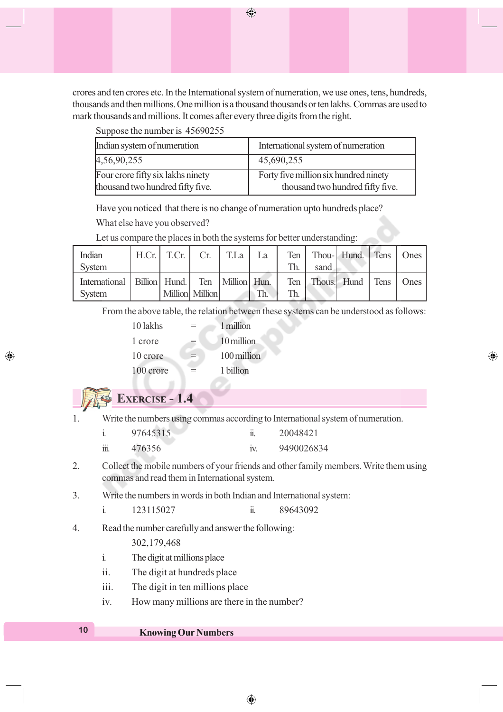crores and ten crores etc. In the International system of numeration, we use ones, tens, hundreds, thousands and then millions. One million is a thousand thousands or ten lakhs. Commas are used to mark thousands and millions. It comes after every three digits from the right.

Suppose the number is 45690255

| Indian system of numeration       | International system of numeration    |
|-----------------------------------|---------------------------------------|
| 4,56,90,255                       | 45,690,255                            |
| Four crore fifty six lakhs ninety | Forty five million six hundred ninety |
| thousand two hundred fifty five.  | thousand two hundred fifty five.      |

Have you noticed that there is no change of numeration upto hundreds place?

What else have you observed?

Let us compare the places in both the systems for better understanding:

| Indian                                                                    | $H.Cr.$ T.Cr. | Cr.               | TLa | La  |      | Ten   Thou- Hund.   Tens   Ones |  |
|---------------------------------------------------------------------------|---------------|-------------------|-----|-----|------|---------------------------------|--|
| System                                                                    |               |                   |     |     | sand |                                 |  |
| International   Billion   Hund.   Ten   Million   Hun.  <br><b>System</b> |               | Million   Million |     | Th. |      | Ten Thous. Hund Tens   Ones     |  |

From the above table, the relation between these systems can be understood as follows:

⊕

| 10 lakhs  | 1 million   |
|-----------|-------------|
| 1 crore   | 10 million  |
| 10 crore  | 100 million |
| 100 crore | 1 billion   |
|           |             |

# **EXERCISE - 1.4**

◈

1. Write the numbers using commas according to International system of numeration.

|          | 97645315 | <br>20048421 |
|----------|----------|--------------|
| <br>111. | 476356   | 9490026834   |

2. Collect the mobile numbers of your friends and other family members. Write them using commas and read them in International system.

⊕

3. Write the numbers in words in both Indian and International system:

i. 
$$
123115027
$$
 ii.  $89643092$ 

4. Read the number carefully and answer the following:

302,179,468

- i. The digit at millions place
- ii. The digit at hundreds place
- iii. The digit in ten millions place
- iv. How many millions are there in the number?

### **<sup>10</sup> Knowing Our Numbers**

 $\bigoplus$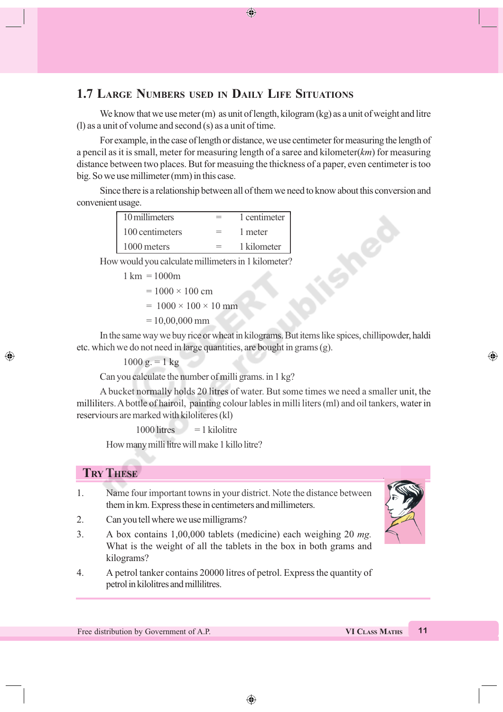## **1.7 LARGE NUMBERS USED IN DAILY LIFE SITUATIONS**

We know that we use meter (m) as unit of length, kilogram (kg) as a unit of weight and litre (l) as a unit of volume and second (s) as a unit of time.

◈

For example, in the case of length or distance, we use centimeter for measuring the length of a pencil as it is small, meter for measuring length of a saree and kilometer(*km*) for measuring distance between two places. But for measuing the thickness of a paper, even centimeter is too big. So we use millimeter (mm) in this case.

Since there is a relationship between all of them we need to know about this conversion and convenient usage.

| 10 millimeters  |     | 1 centimeter |
|-----------------|-----|--------------|
| 100 centimeters |     | 1 meter      |
| 1000 meters     | $=$ | 1 kilometer  |

How would you calculate millimeters in 1 kilometer?

```
1 \text{ km} = 1000 \text{m}
```

$$
= 1000 \times 100 \text{ cm}
$$

 $= 1000 \times 100 \times 10$  mm

 $= 10,00,000$  mm

In the same way we buy rice or wheat in kilograms. But items like spices, chillipowder, haldi etc. which we do not need in large quantities, are bought in grams (g).

 $1000 g = 1 kg$ 

Can you calculate the number of milli grams. in 1 kg?

A bucket normally holds 20 litres of water. But some times we need a smaller unit, the milliliters. A bottle of hairoil, painting colour lables in milli liters (ml) and oil tankers, water in reserviours are marked with kiloliteres (kl)

 $1000$  litres  $= 1$  kilolitre

How many milli litre will make 1 killo litre?

### **TRY THESE**

◈

- 1. Name four important towns in your district. Note the distance between them in km. Express these in centimeters and millimeters.
- 2. Can you tell where we use milligrams?
- 3. A box contains 1,00,000 tablets (medicine) each weighing 20 *mg.* What is the weight of all the tablets in the box in both grams and kilograms?
- 4. A petrol tanker contains 20000 litres of petrol. Express the quantity of petrol in kilolitres and millilitres.

Free distribution by Government of A.P. **VI CLASS MATHS 11** 

⊕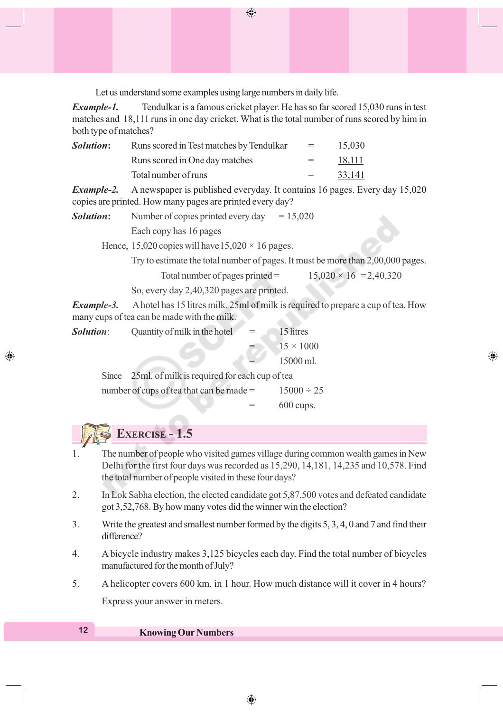Let us understand some examples using large numbers in daily life.

*Example-1.* Tendulkar is a famous cricket player. He has so far scored 15,030 runs in test matches and 18,111 runs in one day cricket. What is the total number of runs scored by him in both type of matches?

 $\bigoplus$ 

|                                | $=$ $-$ | 15,030                                   |
|--------------------------------|---------|------------------------------------------|
| Runs scored in One day matches | $=$ $-$ | 18,111                                   |
| Total number of runs           | $=$     | 33,141                                   |
|                                |         | Runs scored in Test matches by Tendulkar |

*Example-2.* A newspaper is published everyday. It contains 16 pages. Every day 15,020 copies are printed. How many pages are printed every day?

| <i>Solution:</i> | Number of copies printed every day | $= 15,020$ |
|------------------|------------------------------------|------------|
|                  | Each copy has 16 pages             |            |

Hence, 15,020 copies will have  $15,020 \times 16$  pages.

Try to estimate the total number of pages. It must be more than 2,00,000 pages.

⊕

| Total number of pages printed $=$ | $15,020 \times 16 = 2,40,320$ |
|-----------------------------------|-------------------------------|
|-----------------------------------|-------------------------------|

So, every day 2,40,320 pages are printed.

*Example-3.* A hotel has 15 litres milk. 25ml of milk is required to prepare a cup of tea. How many cups of tea can be made with the milk.

| <i>Solution</i> : | Quantity of milk in the hotel                       | $=$ | 15 litres        |  |
|-------------------|-----------------------------------------------------|-----|------------------|--|
|                   |                                                     |     | $15 \times 1000$ |  |
|                   |                                                     |     | 15000 ml.        |  |
|                   | Since 25ml. of milk is required for each cup of tea |     |                  |  |

number of cups of tea that can be made =  $15000 \div 25$ = 600 cups.

# **EXERCISE - 1.5**

◈

- 1. The number of people who visited games village during common wealth games in New Delhi for the first four days was recorded as 15,290, 14,181, 14,235 and 10,578. Find the total number of people visited in these four days?
- 2. In Lok Sabha election, the elected candidate got 5,87,500 votes and defeated candidate got 3,52,768. By how many votes did the winner win the election?
- 3. Write the greatest and smallest number formed by the digits 5, 3, 4, 0 and 7 and find their difference?
- 4. A bicycle industry makes 3,125 bicycles each day. Find the total number of bicycles manufactured for the month of July?
- 5. A helicopter covers 600 km. in 1 hour. How much distance will it cover in 4 hours?

Express your answer in meters.

### **<sup>12</sup> Knowing Our Numbers**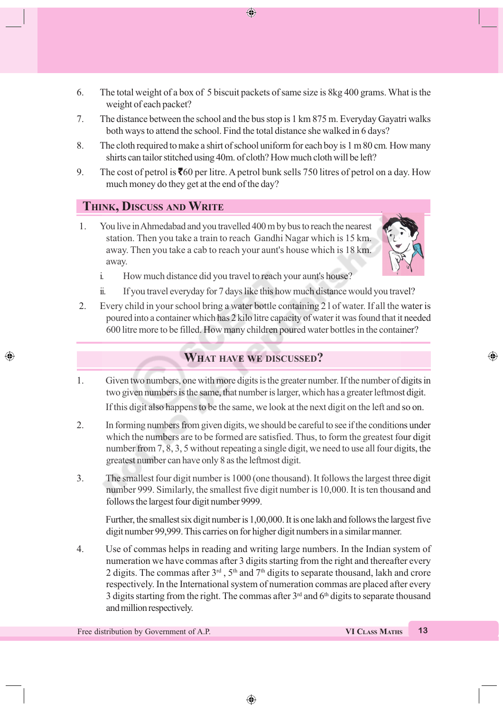6. The total weight of a box of 5 biscuit packets of same size is 8kg 400 grams. What is the weight of each packet?

 $\bigoplus$ 

- 7. The distance between the school and the bus stop is 1 km 875 m. Everyday Gayatri walks both ways to attend the school. Find the total distance she walked in 6 days?
- 8. The cloth required to make a shirt of school uniform for each boy is 1 m 80 cm*.* How many shirts can tailor stitched using 40m. of cloth? How much cloth will be left?
- 9. The cost of petrol is  $\bar{560}$  per litre. A petrol bunk sells 750 litres of petrol on a day. How much money do they get at the end of the day?

### **THINK, DISCUSS AND WRITE**

◈

 1. You live in Ahmedabad and you travelled 400 m by bus to reach the nearest station. Then you take a train to reach Gandhi Nagar which is 15 km. away. Then you take a cab to reach your aunt's house which is 18 km. away.



⊕

- i. How much distance did you travel to reach your aunt's house?
- ii. If you travel everyday for 7 days like this how much distance would you travel?
- 2. Every child in your school bring a water bottle containing 2 l of water. If all the water is poured into a container which has 2 kilo litre capacity of water it was found that it needed 600 litre more to be filled. How many children poured water bottles in the container?

## **WHAT HAVE WE DISCUSSED?**

- 1. Given two numbers, one with more digits is the greater number. If the number of digits in two given numbers is the same, that number is larger, which has a greater leftmost digit. If this digit also happens to be the same, we look at the next digit on the left and so on.
- 2. In forming numbers from given digits, we should be careful to see if the conditions under which the numbers are to be formed are satisfied. Thus, to form the greatest four digit number from 7, 8, 3, 5 without repeating a single digit, we need to use all four digits, the greatest number can have only 8 as the leftmost digit.
- 3. The smallest four digit number is 1000 (one thousand). It follows the largest three digit number 999. Similarly, the smallest five digit number is 10,000. It is ten thousand and follows the largest four digit number 9999.

Further, the smallest six digit number is 1,00,000. It is one lakh and follows the largest five digit number 99,999. This carries on for higher digit numbers in a similar manner.

4. Use of commas helps in reading and writing large numbers. In the Indian system of numeration we have commas after 3 digits starting from the right and thereafter every 2 digits. The commas after  $3<sup>rd</sup>$ ,  $5<sup>th</sup>$  and  $7<sup>th</sup>$  digits to separate thousand, lakh and crore respectively. In the International system of numeration commas are placed after every 3 digits starting from the right. The commas after  $3<sup>rd</sup>$  and  $6<sup>th</sup>$  digits to separate thousand and million respectively.

Free distribution by Government of A.P. **VI CLASS MATHS** 13